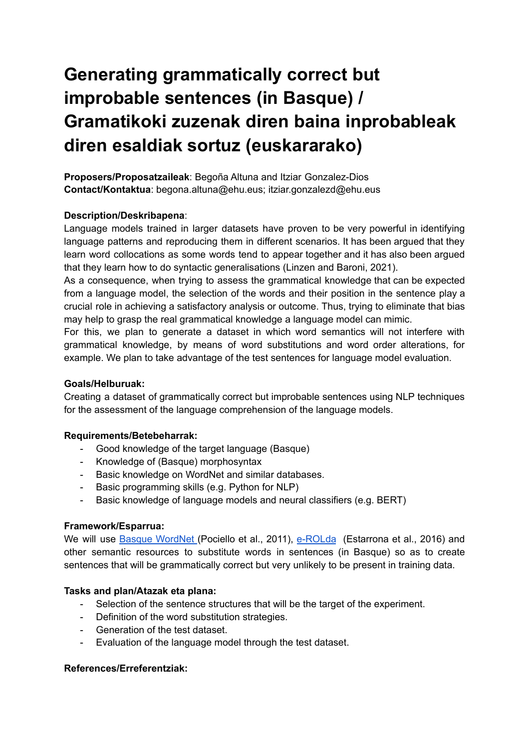# **Generating grammatically correct but improbable sentences (in Basque) / Gramatikoki zuzenak diren baina inprobableak diren esaldiak sortuz (euskararako)**

**Proposers/Proposatzaileak**: Begoña Altuna and Itziar Gonzalez-Dios **Contact/Kontaktua**: begona.altuna@ehu.eus; itziar.gonzalezd@ehu.eus

## **Description/Deskribapena**:

Language models trained in larger datasets have proven to be very powerful in identifying language patterns and reproducing them in different scenarios. It has been argued that they learn word collocations as some words tend to appear together and it has also been argued that they learn how to do syntactic generalisations (Linzen and Baroni, 2021).

As a consequence, when trying to assess the grammatical knowledge that can be expected from a language model, the selection of the words and their position in the sentence play a crucial role in achieving a satisfactory analysis or outcome. Thus, trying to eliminate that bias may help to grasp the real grammatical knowledge a language model can mimic.

For this, we plan to generate a dataset in which word semantics will not interfere with grammatical knowledge, by means of word substitutions and word order alterations, for example. We plan to take advantage of the test sentences for language model evaluation.

### **Goals/Helburuak:**

Creating a dataset of grammatically correct but improbable sentences using NLP techniques for the assessment of the language comprehension of the language models.

### **Requirements/Betebeharrak:**

- Good knowledge of the target language (Basque)
- Knowledge of (Basque) morphosyntax
- Basic knowledge on WordNet and similar databases.
- Basic programming skills (e.g. Python for NLP)
- Basic knowledge of language models and neural classifiers (e.g. BERT)

### **Framework/Esparrua:**

We will use **Basque [WordNet](https://adimen.si.ehu.es/cgi-bin/wei/public/wei.consult.perl)** (Pociello et al., 2011), [e-ROLda](http://ixa2.si.ehu.eus/e-rolda/) (Estarrona et al., 2016) and other semantic resources to substitute words in sentences (in Basque) so as to create sentences that will be grammatically correct but very unlikely to be present in training data.

### **Tasks and plan/Atazak eta plana:**

- Selection of the sentence structures that will be the target of the experiment.
- Definition of the word substitution strategies.
- Generation of the test dataset.
- Evaluation of the language model through the test dataset.

### **References/Erreferentziak:**